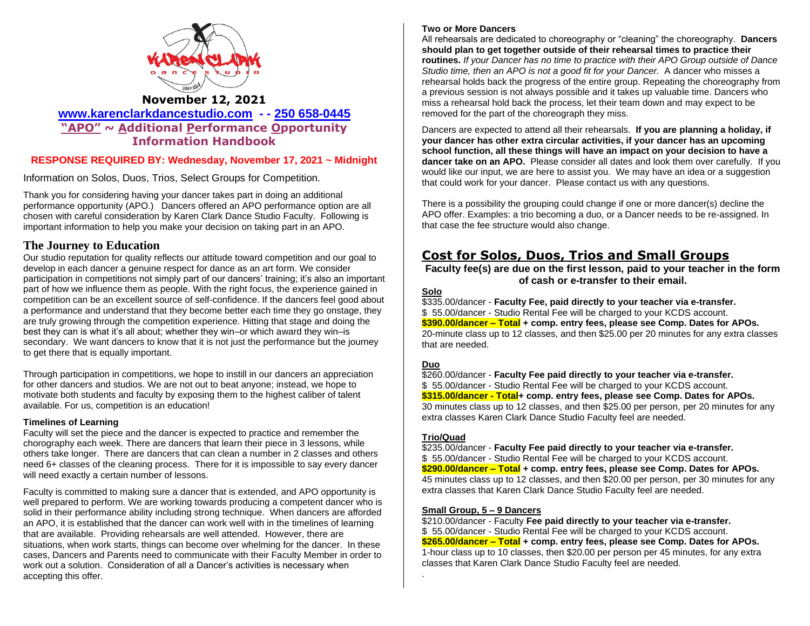

### **November 12, 2021**

**[www.karenclarkdancestudio.com](http://www.karenclarkdancestudio.com/) - - 250 658-0445 "APO" ~ Additional Performance Opportunity Information Handbook**

### **RESPONSE REQUIRED BY: Wednesday, November 17, 2021 ~ Midnight**

Information on Solos, Duos, Trios, Select Groups for Competition.

Thank you for considering having your dancer takes part in doing an additional performance opportunity (APO.) Dancers offered an APO performance option are all chosen with careful consideration by Karen Clark Dance Studio Faculty. Following is important information to help you make your decision on taking part in an APO.

### **The Journey to Education**

Our studio reputation for quality reflects our attitude toward competition and our goal to develop in each dancer a genuine respect for dance as an art form. We consider participation in competitions not simply part of our dancers' training; it's also an important part of how we influence them as people. With the right focus, the experience gained in competition can be an excellent source of self-confidence. If the dancers feel good about a performance and understand that they become better each time they go onstage, they are truly growing through the competition experience. Hitting that stage and doing the best they can is what it's all about; whether they win–or which award they win–is secondary. We want dancers to know that it is not just the performance but the journey to get there that is equally important.

Through participation in competitions, we hope to instill in our dancers an appreciation for other dancers and studios. We are not out to beat anyone; instead, we hope to motivate both students and faculty by exposing them to the highest caliber of talent available. For us, competition is an education!

#### **Timelines of Learning**

Faculty will set the piece and the dancer is expected to practice and remember the chorography each week. There are dancers that learn their piece in 3 lessons, while others take longer. There are dancers that can clean a number in 2 classes and others need 6+ classes of the cleaning process. There for it is impossible to say every dancer will need exactly a certain number of lessons.

Faculty is committed to making sure a dancer that is extended, and APO opportunity is well prepared to perform. We are working towards producing a competent dancer who is solid in their performance ability including strong technique. When dancers are afforded an APO, it is established that the dancer can work well with in the timelines of learning that are available. Providing rehearsals are well attended. However, there are situations, when work starts, things can become over whelming for the dancer. In these cases, Dancers and Parents need to communicate with their Faculty Member in order to work out a solution. Consideration of all a Dancer's activities is necessary when accepting this offer.

#### **Two or More Dancers**

All rehearsals are dedicated to choreography or "cleaning" the choreography. **Dancers should plan to get together outside of their rehearsal times to practice their routines.** *If your Dancer has no time to practice with their APO Group outside of Dance Studio time, then an APO is not a good fit for your Dancer.* A dancer who misses a rehearsal holds back the progress of the entire group. Repeating the choreography from a previous session is not always possible and it takes up valuable time. Dancers who miss a rehearsal hold back the process, let their team down and may expect to be removed for the part of the choreograph they miss.

Dancers are expected to attend all their rehearsals. **If you are planning a holiday, if your dancer has other extra circular activities, if your dancer has an upcoming school function, all these things will have an impact on your decision to have a dancer take on an APO.** Please consider all dates and look them over carefully. If you would like our input, we are here to assist you. We may have an idea or a suggestion that could work for your dancer. Please contact us with any questions.

There is a possibility the grouping could change if one or more dancer(s) decline the APO offer. Examples: a trio becoming a duo, or a Dancer needs to be re-assigned. In that case the fee structure would also change.

### **Cost for Solos, Duos, Trios and Small Groups**

**Faculty fee(s) are due on the first lesson, paid to your teacher in the form of cash or e-transfer to their email.**

#### **Solo**

\$335.00/dancer - **Faculty Fee, paid directly to your teacher via e-transfer.** \$ 55.00/dancer - Studio Rental Fee will be charged to your KCDS account. **\$390.00/dancer – Total + comp. entry fees, please see Comp. Dates for APOs.** 20-minute class up to 12 classes, and then \$25.00 per 20 minutes for any extra classes that are needed.

### **Duo**

\$260.00/dancer - **Faculty Fee paid directly to your teacher via e-transfer.** \$ 55.00/dancer - Studio Rental Fee will be charged to your KCDS account. **\$315.00/dancer - Total+ comp. entry fees, please see Comp. Dates for APOs.** 30 minutes class up to 12 classes, and then \$25.00 per person, per 20 minutes for any extra classes Karen Clark Dance Studio Faculty feel are needed.

#### **Trio/Quad**

.

\$235.00/dancer - **Faculty Fee paid directly to your teacher via e-transfer.** \$ 55.00/dancer - Studio Rental Fee will be charged to your KCDS account. **\$290.00/dancer – Total + comp. entry fees, please see Comp. Dates for APOs.** 45 minutes class up to 12 classes, and then \$20.00 per person, per 30 minutes for any extra classes that Karen Clark Dance Studio Faculty feel are needed.

#### **Small Group, 5 – 9 Dancers**

\$210.00/dancer - Faculty **Fee paid directly to your teacher via e-transfer.** \$ 55.00/dancer - Studio Rental Fee will be charged to your KCDS account. **\$265.00/dancer – Total + comp. entry fees, please see Comp. Dates for APOs.** 1-hour class up to 10 classes, then \$20.00 per person per 45 minutes, for any extra classes that Karen Clark Dance Studio Faculty feel are needed.